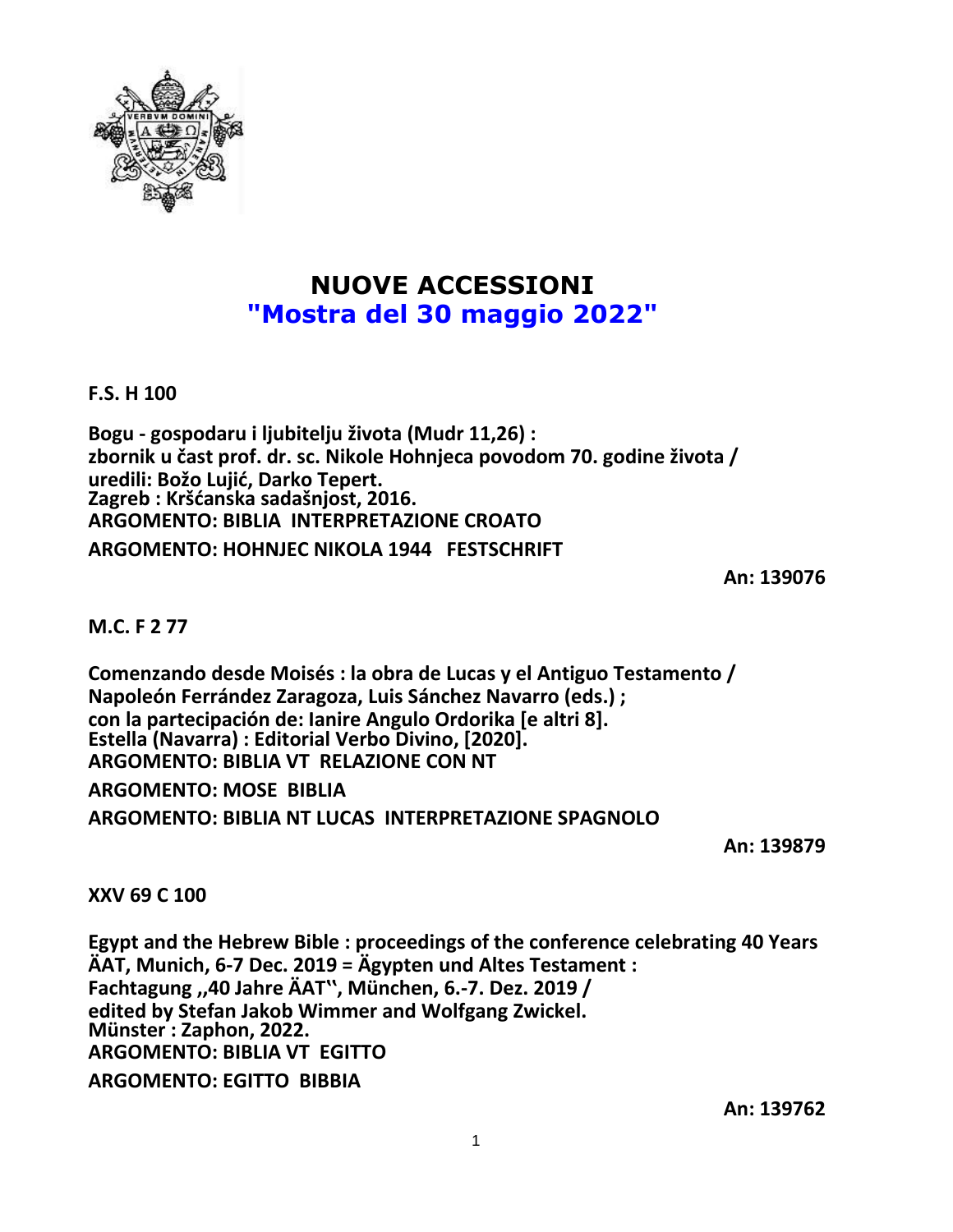

## **NUOVE ACCESSIONI "Mostra del 30 maggio 2022"**

**F.S. H 100**

**Bogu - gospodaru i ljubitelju života (Mudr 11,26) : zbornik u čast prof. dr. sc. Nikole Hohnjeca povodom 70. godine života / uredili: Božo Lujić, Darko Tepert. Zagreb : Kršćanska sadašnjost, 2016. ARGOMENTO: BIBLIA INTERPRETAZIONE CROATO ARGOMENTO: HOHNJEC NIKOLA 1944 FESTSCHRIFT**

**An: 139076**

## **M.C. F 2 77**

**Comenzando desde Moisés : la obra de Lucas y el Antiguo Testamento / Napoleón Ferrández Zaragoza, Luis Sánchez Navarro (eds.) ; con la partecipación de: Ianire Angulo Ordorika [e altri 8]. Estella (Navarra) : Editorial Verbo Divino, [2020]. ARGOMENTO: BIBLIA VT RELAZIONE CON NT**

**ARGOMENTO: MOSE BIBLIA**

**ARGOMENTO: BIBLIA NT LUCAS INTERPRETAZIONE SPAGNOLO**

**An: 139879**

**XXV 69 C 100**

**Egypt and the Hebrew Bible : proceedings of the conference celebrating 40 Years ÄAT, Munich, 6-7 Dec. 2019 = Ägypten und Altes Testament : Fachtagung ,,40 Jahre ÄATʽʽ, München, 6.-7. Dez. 2019 / edited by Stefan Jakob Wimmer and Wolfgang Zwickel. Münster : Zaphon, 2022. ARGOMENTO: BIBLIA VT EGITTO ARGOMENTO: EGITTO BIBBIA**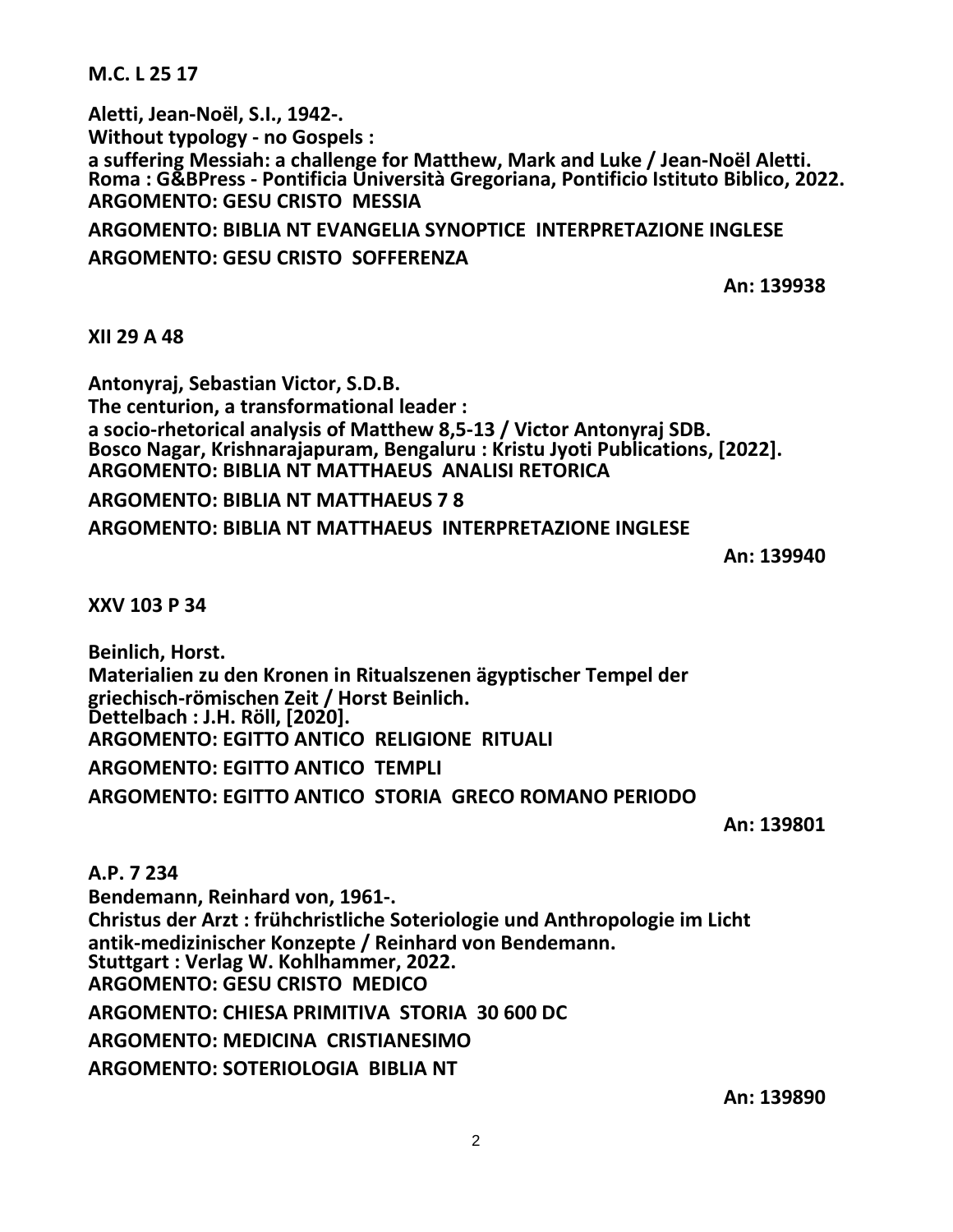**M.C. L 25 17**

**Aletti, Jean-Noël, S.I., 1942-. Without typology - no Gospels : a suffering Messiah: a challenge for Matthew, Mark and Luke / Jean-Noël Aletti. Roma : G&BPress - Pontificia Università Gregoriana, Pontificio Istituto Biblico, 2022. ARGOMENTO: GESU CRISTO MESSIA ARGOMENTO: BIBLIA NT EVANGELIA SYNOPTICE INTERPRETAZIONE INGLESE**

**ARGOMENTO: GESU CRISTO SOFFERENZA**

**An: 139938**

**XII 29 A 48**

**Antonyraj, Sebastian Victor, S.D.B. The centurion, a transformational leader : a socio-rhetorical analysis of Matthew 8,5-13 / Victor Antonyraj SDB. Bosco Nagar, Krishnarajapuram, Bengaluru : Kristu Jyoti Publications, [2022]. ARGOMENTO: BIBLIA NT MATTHAEUS ANALISI RETORICA**

**ARGOMENTO: BIBLIA NT MATTHAEUS 7 8**

**ARGOMENTO: BIBLIA NT MATTHAEUS INTERPRETAZIONE INGLESE**

**An: 139940**

**XXV 103 P 34**

**Beinlich, Horst. Materialien zu den Kronen in Ritualszenen ägyptischer Tempel der griechisch-römischen Zeit / Horst Beinlich. Dettelbach : J.H. Röll, [2020]. ARGOMENTO: EGITTO ANTICO RELIGIONE RITUALI ARGOMENTO: EGITTO ANTICO TEMPLI ARGOMENTO: EGITTO ANTICO STORIA GRECO ROMANO PERIODO**

**An: 139801**

**A.P. 7 234 Bendemann, Reinhard von, 1961-. Christus der Arzt : frühchristliche Soteriologie und Anthropologie im Licht antik-medizinischer Konzepte / Reinhard von Bendemann. Stuttgart : Verlag W. Kohlhammer, 2022. ARGOMENTO: GESU CRISTO MEDICO ARGOMENTO: CHIESA PRIMITIVA STORIA 30 600 DC ARGOMENTO: MEDICINA CRISTIANESIMO ARGOMENTO: SOTERIOLOGIA BIBLIA NT**

**An: 139890**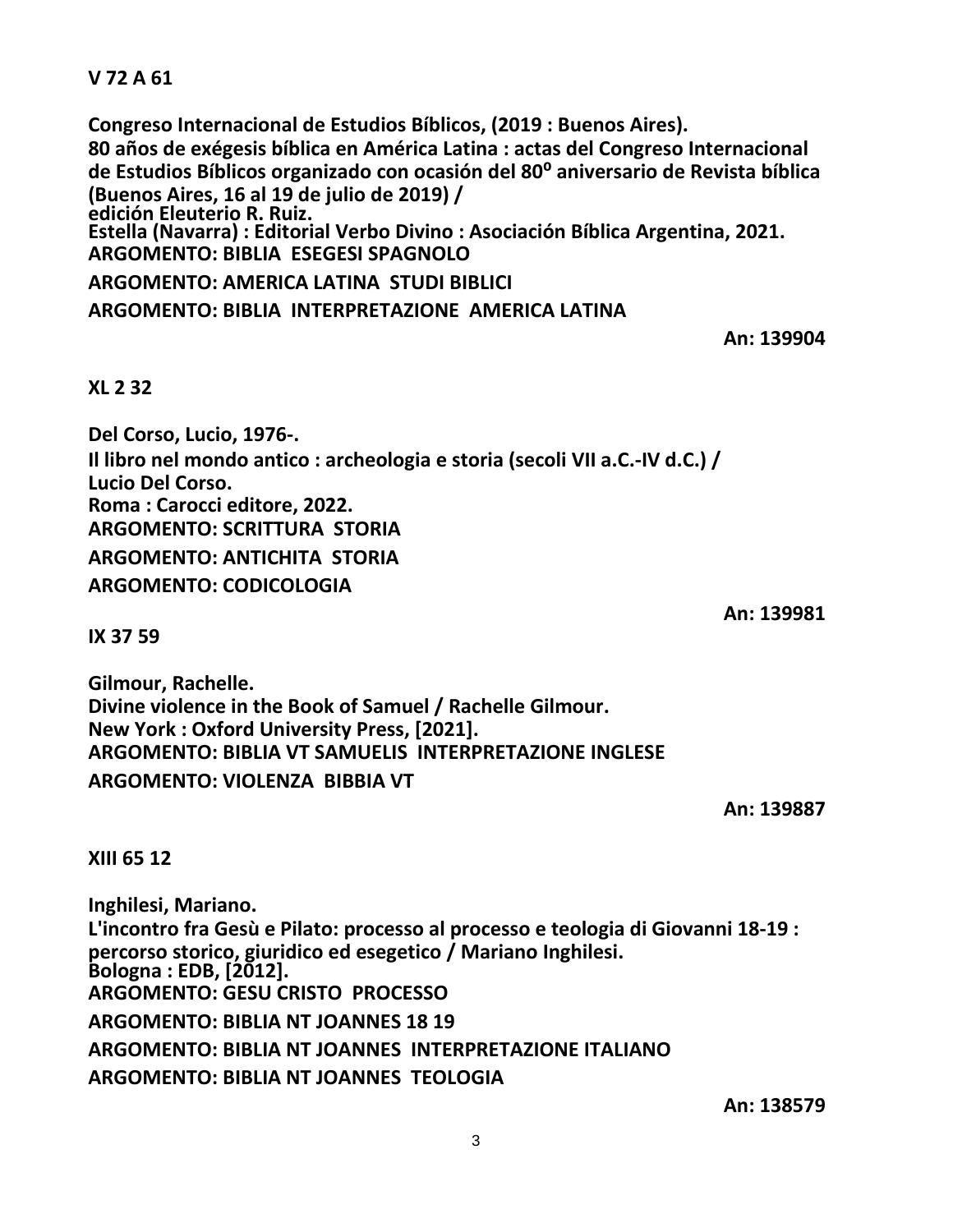## **V 72 A 61**

**Congreso Internacional de Estudios Bíblicos, (2019 : Buenos Aires). 80 años de exégesis bíblica en América Latina : actas del Congreso Internacional de Estudios Bíblicos organizado con ocasión del 80⁰ aniversario de Revista bíblica (Buenos Aires, 16 al 19 de julio de 2019) / edición Eleuterio R. Ruiz. Estella (Navarra) : Editorial Verbo Divino : Asociación Bíblica Argentina, 2021. ARGOMENTO: BIBLIA ESEGESI SPAGNOLO ARGOMENTO: AMERICA LATINA STUDI BIBLICI ARGOMENTO: BIBLIA INTERPRETAZIONE AMERICA LATINA**

**An: 139904**

## **XL 2 32**

**Del Corso, Lucio, 1976-. Il libro nel mondo antico : archeologia e storia (secoli VII a.C.-IV d.C.) / Lucio Del Corso. Roma : Carocci editore, 2022. ARGOMENTO: SCRITTURA STORIA ARGOMENTO: ANTICHITA STORIA ARGOMENTO: CODICOLOGIA**

**IX 37 59**

**Gilmour, Rachelle. Divine violence in the Book of Samuel / Rachelle Gilmour. New York : Oxford University Press, [2021]. ARGOMENTO: BIBLIA VT SAMUELIS INTERPRETAZIONE INGLESE ARGOMENTO: VIOLENZA BIBBIA VT**

**An: 139887**

**An: 139981**

**XIII 65 12**

**Inghilesi, Mariano. L'incontro fra Gesù e Pilato: processo al processo e teologia di Giovanni 18-19 : percorso storico, giuridico ed esegetico / Mariano Inghilesi. Bologna : EDB, [2012]. ARGOMENTO: GESU CRISTO PROCESSO ARGOMENTO: BIBLIA NT JOANNES 18 19 ARGOMENTO: BIBLIA NT JOANNES INTERPRETAZIONE ITALIANO ARGOMENTO: BIBLIA NT JOANNES TEOLOGIA**

**An: 138579**